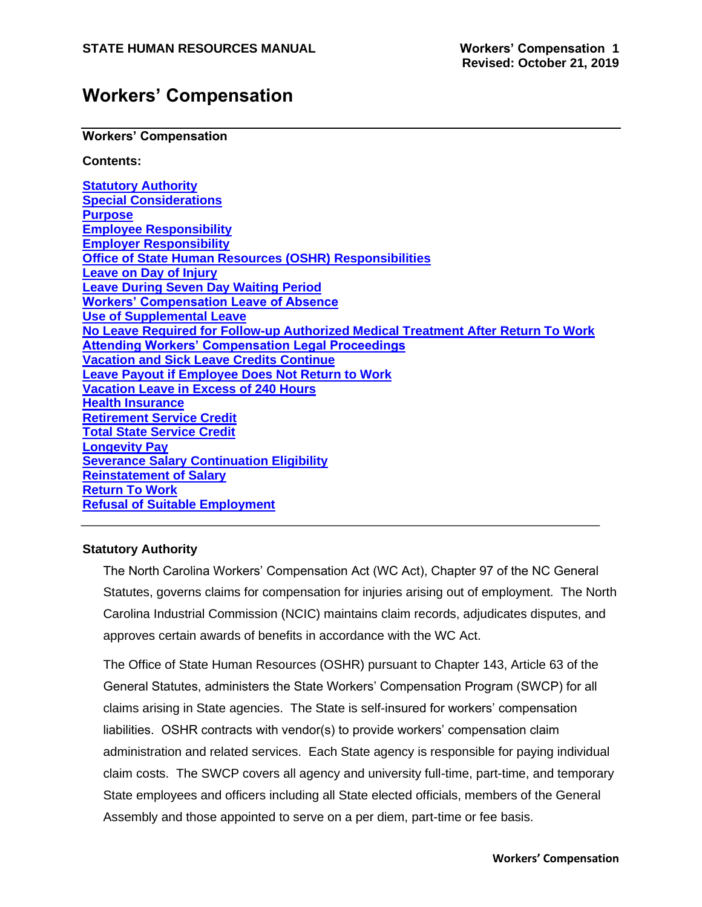### **Workers' Compensation**

#### **Workers' Compensation**

### **Contents:**

**Statutory Authority Special Considerations Purpose Employee Responsibility Employer Responsibility Office of State Human Resources (OSHR) Responsibilities Leave on Day of Injury Leave During Seven Day Waiting Period Workers' Compensation Leave of Absence Use of Supplemental Leave No Leave Required for Follow-up Authorized Medical Treatment After Return To Work Attending Workers' Compensation Legal Proceedings Vacation and Sick Leave Credits Continue Leave Payout if Employee Does Not Return to Work Vacation Leave in Excess of 240 Hours Health Insurance Retirement Service Credit Total State Service Credit Longevity Pay Severance Salary Continuation Eligibility Reinstatement of Salary Return To Work Refusal of Suitable Employment**

### **Statutory Authority**

The North Carolina Workers' Compensation Act (WC Act), Chapter 97 of the NC General Statutes, governs claims for compensation for injuries arising out of employment. The North Carolina Industrial Commission (NCIC) maintains claim records, adjudicates disputes, and approves certain awards of benefits in accordance with the WC Act.

The Office of State Human Resources (OSHR) pursuant to Chapter 143, Article 63 of the General Statutes, administers the State Workers' Compensation Program (SWCP) for all claims arising in State agencies. The State is self-insured for workers' compensation liabilities. OSHR contracts with vendor(s) to provide workers' compensation claim administration and related services. Each State agency is responsible for paying individual claim costs. The SWCP covers all agency and university full-time, part-time, and temporary State employees and officers including all State elected officials, members of the General Assembly and those appointed to serve on a per diem, part-time or fee basis.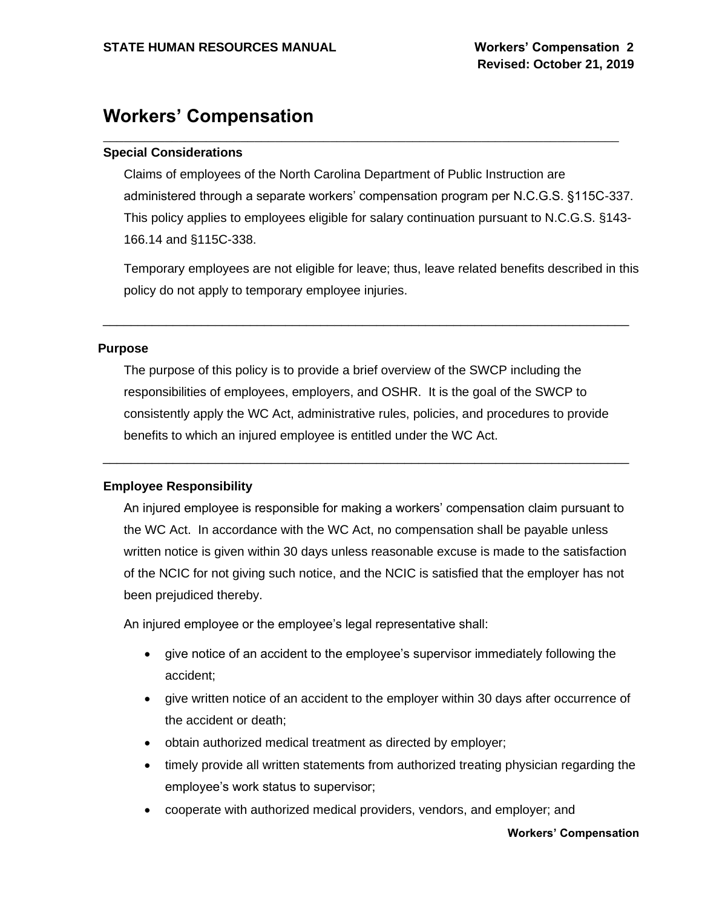### **Workers' Compensation**

### **Special Considerations**

Claims of employees of the North Carolina Department of Public Instruction are administered through a separate workers' compensation program per N.C.G.S. §115C-337. This policy applies to employees eligible for salary continuation pursuant to N.C.G.S. §143- 166.14 and §115C-338.

\_\_\_\_\_\_\_\_\_\_\_\_\_\_\_\_\_\_\_\_\_\_\_\_\_\_\_\_\_\_\_\_\_\_\_\_\_\_\_\_\_\_\_\_\_\_\_\_\_\_\_\_\_\_\_\_\_\_\_\_\_\_\_\_\_\_\_\_\_\_\_\_\_\_\_

Temporary employees are not eligible for leave; thus, leave related benefits described in this policy do not apply to temporary employee injuries.

#### **Purpose**

The purpose of this policy is to provide a brief overview of the SWCP including the responsibilities of employees, employers, and OSHR. It is the goal of the SWCP to consistently apply the WC Act, administrative rules, policies, and procedures to provide benefits to which an injured employee is entitled under the WC Act.

\_\_\_\_\_\_\_\_\_\_\_\_\_\_\_\_\_\_\_\_\_\_\_\_\_\_\_\_\_\_\_\_\_\_\_\_\_\_\_\_\_\_\_\_\_\_\_\_\_\_\_\_\_\_\_\_\_\_\_\_\_\_\_\_\_\_\_\_\_\_\_\_\_\_\_

\_\_\_\_\_\_\_\_\_\_\_\_\_\_\_\_\_\_\_\_\_\_\_\_\_\_\_\_\_\_\_\_\_\_\_\_\_\_\_\_\_\_\_\_\_\_\_\_\_\_\_\_\_\_\_\_\_\_\_\_\_\_\_\_\_\_\_\_\_\_\_\_\_\_\_

### **Employee Responsibility**

An injured employee is responsible for making a workers' compensation claim pursuant to the WC Act. In accordance with the WC Act, no compensation shall be payable unless written notice is given within 30 days unless reasonable excuse is made to the satisfaction of the NCIC for not giving such notice, and the NCIC is satisfied that the employer has not been prejudiced thereby.

An injured employee or the employee's legal representative shall:

- give notice of an accident to the employee's supervisor immediately following the accident;
- give written notice of an accident to the employer within 30 days after occurrence of the accident or death;
- obtain authorized medical treatment as directed by employer;
- timely provide all written statements from authorized treating physician regarding the employee's work status to supervisor;
- cooperate with authorized medical providers, vendors, and employer; and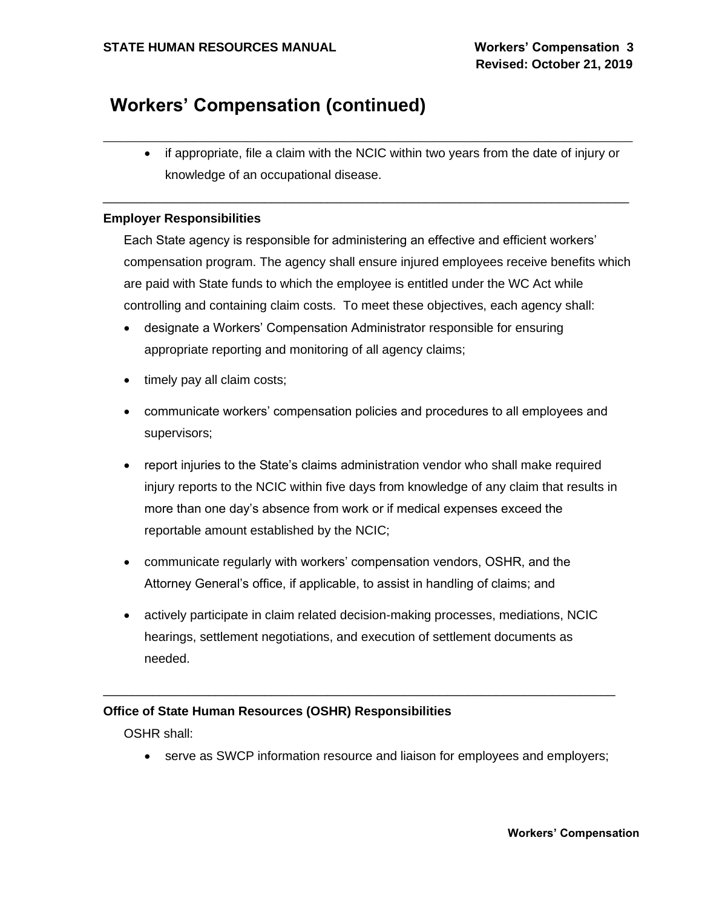• if appropriate, file a claim with the NCIC within two years from the date of injury or knowledge of an occupational disease.

\_\_\_\_\_\_\_\_\_\_\_\_\_\_\_\_\_\_\_\_\_\_\_\_\_\_\_\_\_\_\_\_\_\_\_\_\_\_\_\_\_\_\_\_\_\_\_\_\_\_\_\_\_\_\_\_\_\_\_\_\_\_\_\_\_\_\_\_\_\_\_\_\_\_\_\_\_

\_\_\_\_\_\_\_\_\_\_\_\_\_\_\_\_\_\_\_\_\_\_\_\_\_\_\_\_\_\_\_\_\_\_\_\_\_\_\_\_\_\_\_\_\_\_\_\_\_\_\_\_\_\_\_\_\_\_\_\_\_\_\_\_\_\_\_\_\_\_\_\_\_\_\_

### **Employer Responsibilities**

Each State agency is responsible for administering an effective and efficient workers' compensation program. The agency shall ensure injured employees receive benefits which are paid with State funds to which the employee is entitled under the WC Act while controlling and containing claim costs. To meet these objectives, each agency shall:

- designate a Workers' Compensation Administrator responsible for ensuring appropriate reporting and monitoring of all agency claims;
- timely pay all claim costs;
- communicate workers' compensation policies and procedures to all employees and supervisors;
- report injuries to the State's claims administration vendor who shall make required injury reports to the NCIC within five days from knowledge of any claim that results in more than one day's absence from work or if medical expenses exceed the reportable amount established by the NCIC;
- communicate regularly with workers' compensation vendors, OSHR, and the Attorney General's office, if applicable, to assist in handling of claims; and
- actively participate in claim related decision-making processes, mediations, NCIC hearings, settlement negotiations, and execution of settlement documents as needed.

\_\_\_\_\_\_\_\_\_\_\_\_\_\_\_\_\_\_\_\_\_\_\_\_\_\_\_\_\_\_\_\_\_\_\_\_\_\_\_\_\_\_\_\_\_\_\_\_\_\_\_\_\_\_\_\_\_\_\_\_\_\_\_\_\_\_\_\_\_\_\_\_\_

### **Office of State Human Resources (OSHR) Responsibilities**

OSHR shall:

• serve as SWCP information resource and liaison for employees and employers;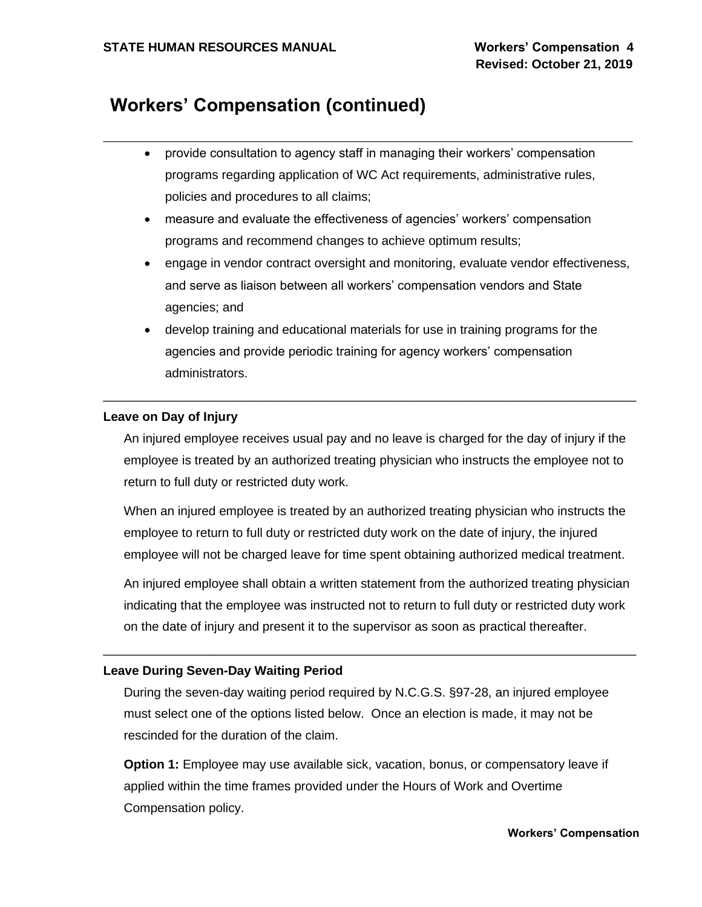• provide consultation to agency staff in managing their workers' compensation programs regarding application of WC Act requirements, administrative rules, policies and procedures to all claims;

\_\_\_\_\_\_\_\_\_\_\_\_\_\_\_\_\_\_\_\_\_\_\_\_\_\_\_\_\_\_\_\_\_\_\_\_\_\_\_\_\_\_\_\_\_\_\_\_\_\_\_\_\_\_\_\_\_\_\_\_\_\_\_\_\_\_\_\_\_\_\_\_\_\_\_\_\_

- measure and evaluate the effectiveness of agencies' workers' compensation programs and recommend changes to achieve optimum results;
- engage in vendor contract oversight and monitoring, evaluate vendor effectiveness, and serve as liaison between all workers' compensation vendors and State agencies; and
- develop training and educational materials for use in training programs for the agencies and provide periodic training for agency workers' compensation administrators.

\_\_\_\_\_\_\_\_\_\_\_\_\_\_\_\_\_\_\_\_\_\_\_\_\_\_\_\_\_\_\_\_\_\_\_\_\_\_\_\_\_\_\_\_\_\_\_\_\_\_\_\_\_\_\_\_\_\_\_\_\_\_\_\_\_\_\_\_\_\_\_\_\_\_\_\_

### **Leave on Day of Injury**

An injured employee receives usual pay and no leave is charged for the day of injury if the employee is treated by an authorized treating physician who instructs the employee not to return to full duty or restricted duty work.

When an injured employee is treated by an authorized treating physician who instructs the employee to return to full duty or restricted duty work on the date of injury, the injured employee will not be charged leave for time spent obtaining authorized medical treatment.

An injured employee shall obtain a written statement from the authorized treating physician indicating that the employee was instructed not to return to full duty or restricted duty work on the date of injury and present it to the supervisor as soon as practical thereafter.

### **Leave During Seven-Day Waiting Period**

During the seven-day waiting period required by N.C.G.S. §97-28, an injured employee must select one of the options listed below. Once an election is made, it may not be rescinded for the duration of the claim.

\_\_\_\_\_\_\_\_\_\_\_\_\_\_\_\_\_\_\_\_\_\_\_\_\_\_\_\_\_\_\_\_\_\_\_\_\_\_\_\_\_\_\_\_\_\_\_\_\_\_\_\_\_\_\_\_\_\_\_\_\_\_\_\_\_\_\_\_\_\_\_\_\_\_\_\_

**Option 1:** Employee may use available sick, vacation, bonus, or compensatory leave if applied within the time frames provided under the Hours of Work and Overtime Compensation policy.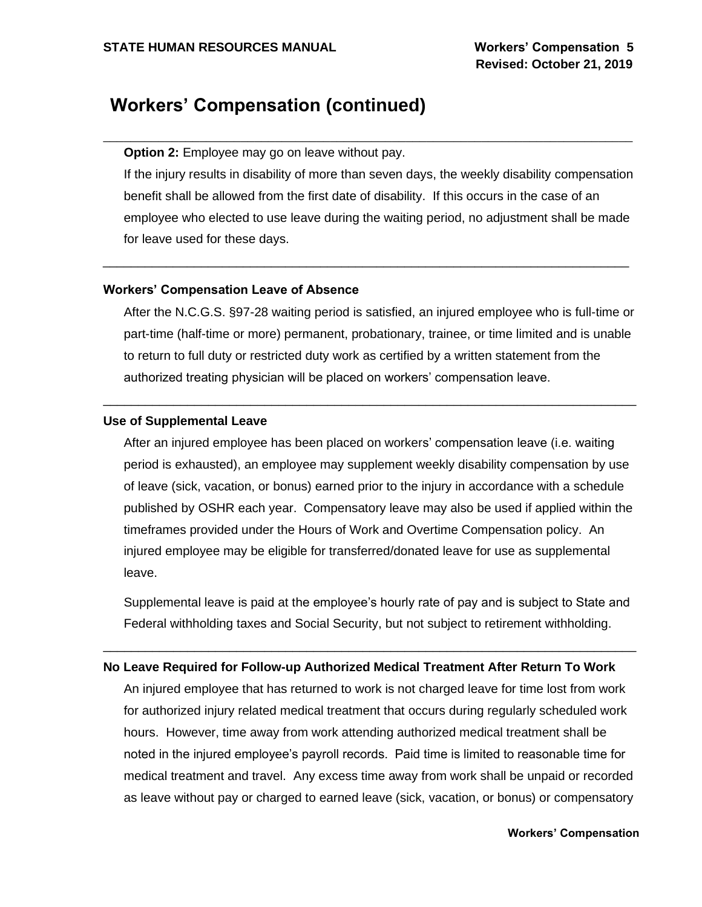**Option 2:** Employee may go on leave without pay.

If the injury results in disability of more than seven days, the weekly disability compensation benefit shall be allowed from the first date of disability. If this occurs in the case of an employee who elected to use leave during the waiting period, no adjustment shall be made for leave used for these days.

\_\_\_\_\_\_\_\_\_\_\_\_\_\_\_\_\_\_\_\_\_\_\_\_\_\_\_\_\_\_\_\_\_\_\_\_\_\_\_\_\_\_\_\_\_\_\_\_\_\_\_\_\_\_\_\_\_\_\_\_\_\_\_\_\_\_\_\_\_\_\_\_\_\_\_

\_\_\_\_\_\_\_\_\_\_\_\_\_\_\_\_\_\_\_\_\_\_\_\_\_\_\_\_\_\_\_\_\_\_\_\_\_\_\_\_\_\_\_\_\_\_\_\_\_\_\_\_\_\_\_\_\_\_\_\_\_\_\_\_\_\_\_\_\_\_\_\_\_\_\_\_\_

### **Workers' Compensation Leave of Absence**

After the N.C.G.S. §97-28 waiting period is satisfied, an injured employee who is full-time or part-time (half-time or more) permanent, probationary, trainee, or time limited and is unable to return to full duty or restricted duty work as certified by a written statement from the authorized treating physician will be placed on workers' compensation leave.

\_\_\_\_\_\_\_\_\_\_\_\_\_\_\_\_\_\_\_\_\_\_\_\_\_\_\_\_\_\_\_\_\_\_\_\_\_\_\_\_\_\_\_\_\_\_\_\_\_\_\_\_\_\_\_\_\_\_\_\_\_\_\_\_\_\_\_\_\_\_\_\_\_\_\_\_

#### **Use of Supplemental Leave**

After an injured employee has been placed on workers' compensation leave (i.e. waiting period is exhausted), an employee may supplement weekly disability compensation by use of leave (sick, vacation, or bonus) earned prior to the injury in accordance with a schedule published by OSHR each year. Compensatory leave may also be used if applied within the timeframes provided under the Hours of Work and Overtime Compensation policy. An injured employee may be eligible for transferred/donated leave for use as supplemental leave.

Supplemental leave is paid at the employee's hourly rate of pay and is subject to State and Federal withholding taxes and Social Security, but not subject to retirement withholding.

### **No Leave Required for Follow-up Authorized Medical Treatment After Return To Work**

\_\_\_\_\_\_\_\_\_\_\_\_\_\_\_\_\_\_\_\_\_\_\_\_\_\_\_\_\_\_\_\_\_\_\_\_\_\_\_\_\_\_\_\_\_\_\_\_\_\_\_\_\_\_\_\_\_\_\_\_\_\_\_\_\_\_\_\_\_\_\_\_\_\_\_\_

An injured employee that has returned to work is not charged leave for time lost from work for authorized injury related medical treatment that occurs during regularly scheduled work hours. However, time away from work attending authorized medical treatment shall be noted in the injured employee's payroll records. Paid time is limited to reasonable time for medical treatment and travel. Any excess time away from work shall be unpaid or recorded as leave without pay or charged to earned leave (sick, vacation, or bonus) or compensatory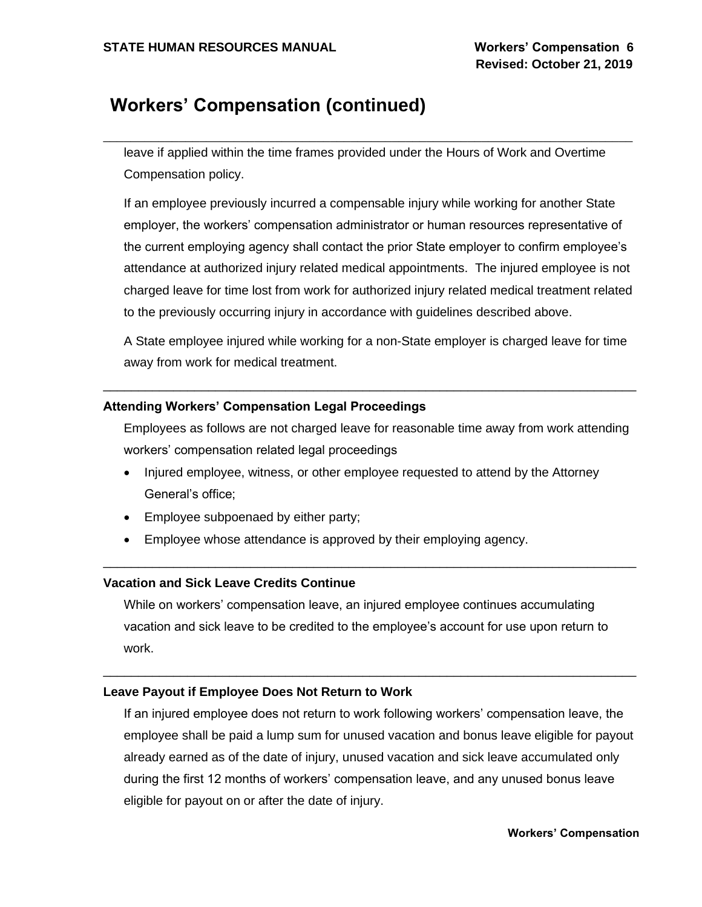leave if applied within the time frames provided under the Hours of Work and Overtime Compensation policy.

\_\_\_\_\_\_\_\_\_\_\_\_\_\_\_\_\_\_\_\_\_\_\_\_\_\_\_\_\_\_\_\_\_\_\_\_\_\_\_\_\_\_\_\_\_\_\_\_\_\_\_\_\_\_\_\_\_\_\_\_\_\_\_\_\_\_\_\_\_\_\_\_\_\_\_\_\_

If an employee previously incurred a compensable injury while working for another State employer, the workers' compensation administrator or human resources representative of the current employing agency shall contact the prior State employer to confirm employee's attendance at authorized injury related medical appointments. The injured employee is not charged leave for time lost from work for authorized injury related medical treatment related to the previously occurring injury in accordance with guidelines described above.

A State employee injured while working for a non-State employer is charged leave for time away from work for medical treatment.

\_\_\_\_\_\_\_\_\_\_\_\_\_\_\_\_\_\_\_\_\_\_\_\_\_\_\_\_\_\_\_\_\_\_\_\_\_\_\_\_\_\_\_\_\_\_\_\_\_\_\_\_\_\_\_\_\_\_\_\_\_\_\_\_\_\_\_\_\_\_\_\_\_\_\_\_

### **Attending Workers' Compensation Legal Proceedings**

Employees as follows are not charged leave for reasonable time away from work attending workers' compensation related legal proceedings

- Injured employee, witness, or other employee requested to attend by the Attorney General's office;
- Employee subpoenaed by either party;
- Employee whose attendance is approved by their employing agency.

### **Vacation and Sick Leave Credits Continue**

While on workers' compensation leave, an injured employee continues accumulating vacation and sick leave to be credited to the employee's account for use upon return to work.

\_\_\_\_\_\_\_\_\_\_\_\_\_\_\_\_\_\_\_\_\_\_\_\_\_\_\_\_\_\_\_\_\_\_\_\_\_\_\_\_\_\_\_\_\_\_\_\_\_\_\_\_\_\_\_\_\_\_\_\_\_\_\_\_\_\_\_\_\_\_\_\_\_\_\_\_

\_\_\_\_\_\_\_\_\_\_\_\_\_\_\_\_\_\_\_\_\_\_\_\_\_\_\_\_\_\_\_\_\_\_\_\_\_\_\_\_\_\_\_\_\_\_\_\_\_\_\_\_\_\_\_\_\_\_\_\_\_\_\_\_\_\_\_\_\_\_\_\_\_\_\_\_

### **Leave Payout if Employee Does Not Return to Work**

If an injured employee does not return to work following workers' compensation leave, the employee shall be paid a lump sum for unused vacation and bonus leave eligible for payout already earned as of the date of injury, unused vacation and sick leave accumulated only during the first 12 months of workers' compensation leave, and any unused bonus leave eligible for payout on or after the date of injury.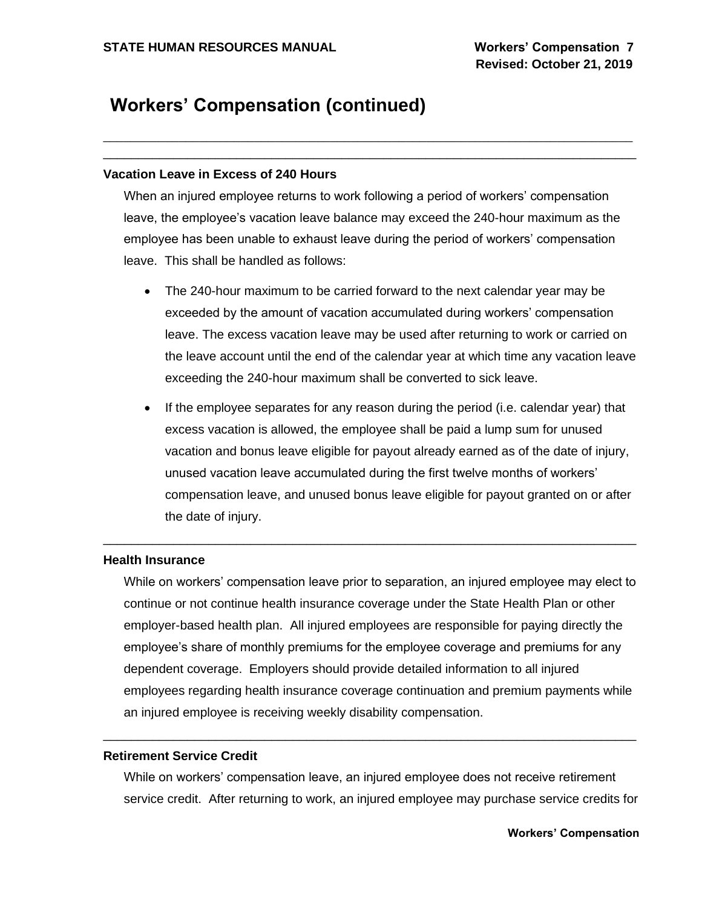### **Vacation Leave in Excess of 240 Hours**

When an injured employee returns to work following a period of workers' compensation leave, the employee's vacation leave balance may exceed the 240-hour maximum as the employee has been unable to exhaust leave during the period of workers' compensation leave. This shall be handled as follows:

\_\_\_\_\_\_\_\_\_\_\_\_\_\_\_\_\_\_\_\_\_\_\_\_\_\_\_\_\_\_\_\_\_\_\_\_\_\_\_\_\_\_\_\_\_\_\_\_\_\_\_\_\_\_\_\_\_\_\_\_\_\_\_\_\_\_\_\_\_\_\_\_\_\_\_\_\_

\_\_\_\_\_\_\_\_\_\_\_\_\_\_\_\_\_\_\_\_\_\_\_\_\_\_\_\_\_\_\_\_\_\_\_\_\_\_\_\_\_\_\_\_\_\_\_\_\_\_\_\_\_\_\_\_\_\_\_\_\_\_\_\_\_\_\_\_\_\_\_\_\_\_\_\_

- The 240-hour maximum to be carried forward to the next calendar year may be exceeded by the amount of vacation accumulated during workers' compensation leave. The excess vacation leave may be used after returning to work or carried on the leave account until the end of the calendar year at which time any vacation leave exceeding the 240-hour maximum shall be converted to sick leave.
- If the employee separates for any reason during the period (i.e. calendar year) that excess vacation is allowed, the employee shall be paid a lump sum for unused vacation and bonus leave eligible for payout already earned as of the date of injury, unused vacation leave accumulated during the first twelve months of workers' compensation leave, and unused bonus leave eligible for payout granted on or after the date of injury.

### **Health Insurance**

While on workers' compensation leave prior to separation, an injured employee may elect to continue or not continue health insurance coverage under the State Health Plan or other employer-based health plan. All injured employees are responsible for paying directly the employee's share of monthly premiums for the employee coverage and premiums for any dependent coverage. Employers should provide detailed information to all injured employees regarding health insurance coverage continuation and premium payments while an injured employee is receiving weekly disability compensation.

\_\_\_\_\_\_\_\_\_\_\_\_\_\_\_\_\_\_\_\_\_\_\_\_\_\_\_\_\_\_\_\_\_\_\_\_\_\_\_\_\_\_\_\_\_\_\_\_\_\_\_\_\_\_\_\_\_\_\_\_\_\_\_\_\_\_\_\_\_\_\_\_\_\_\_\_

### **Retirement Service Credit**

While on workers' compensation leave, an injured employee does not receive retirement service credit. After returning to work, an injured employee may purchase service credits for

\_\_\_\_\_\_\_\_\_\_\_\_\_\_\_\_\_\_\_\_\_\_\_\_\_\_\_\_\_\_\_\_\_\_\_\_\_\_\_\_\_\_\_\_\_\_\_\_\_\_\_\_\_\_\_\_\_\_\_\_\_\_\_\_\_\_\_\_\_\_\_\_\_\_\_\_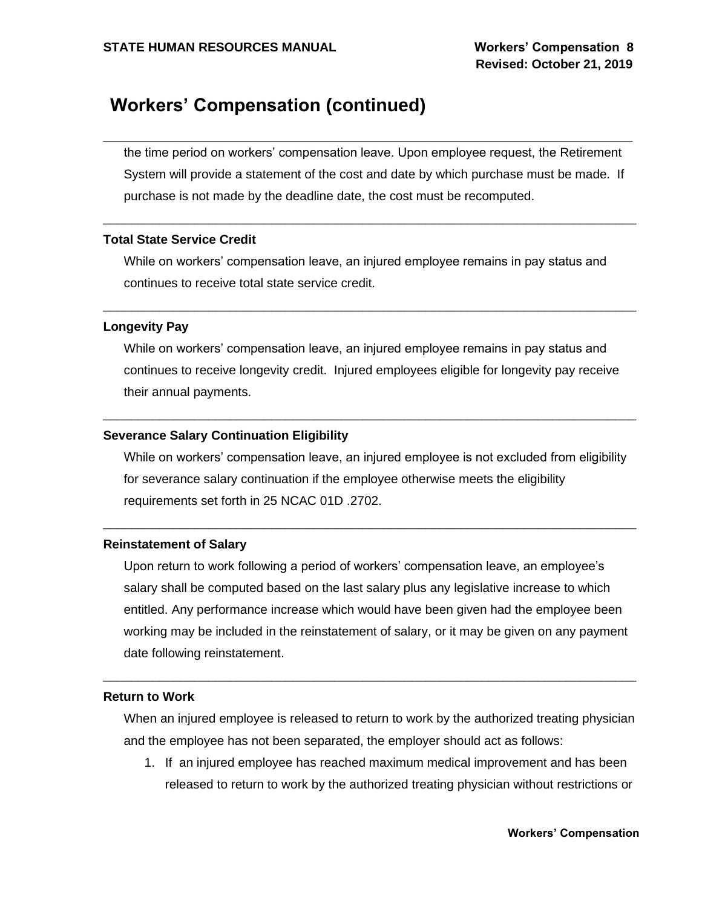the time period on workers' compensation leave. Upon employee request, the Retirement System will provide a statement of the cost and date by which purchase must be made. If purchase is not made by the deadline date, the cost must be recomputed.

\_\_\_\_\_\_\_\_\_\_\_\_\_\_\_\_\_\_\_\_\_\_\_\_\_\_\_\_\_\_\_\_\_\_\_\_\_\_\_\_\_\_\_\_\_\_\_\_\_\_\_\_\_\_\_\_\_\_\_\_\_\_\_\_\_\_\_\_\_\_\_\_\_\_\_\_\_

### **Total State Service Credit**

While on workers' compensation leave, an injured employee remains in pay status and continues to receive total state service credit.

\_\_\_\_\_\_\_\_\_\_\_\_\_\_\_\_\_\_\_\_\_\_\_\_\_\_\_\_\_\_\_\_\_\_\_\_\_\_\_\_\_\_\_\_\_\_\_\_\_\_\_\_\_\_\_\_\_\_\_\_\_\_\_\_\_\_\_\_\_\_\_\_\_\_\_\_

\_\_\_\_\_\_\_\_\_\_\_\_\_\_\_\_\_\_\_\_\_\_\_\_\_\_\_\_\_\_\_\_\_\_\_\_\_\_\_\_\_\_\_\_\_\_\_\_\_\_\_\_\_\_\_\_\_\_\_\_\_\_\_\_\_\_\_\_\_\_\_\_\_\_\_\_

### **Longevity Pay**

While on workers' compensation leave, an injured employee remains in pay status and continues to receive longevity credit. Injured employees eligible for longevity pay receive their annual payments.

\_\_\_\_\_\_\_\_\_\_\_\_\_\_\_\_\_\_\_\_\_\_\_\_\_\_\_\_\_\_\_\_\_\_\_\_\_\_\_\_\_\_\_\_\_\_\_\_\_\_\_\_\_\_\_\_\_\_\_\_\_\_\_\_\_\_\_\_\_\_\_\_\_\_\_\_

### **Severance Salary Continuation Eligibility**

While on workers' compensation leave, an injured employee is not excluded from eligibility for severance salary continuation if the employee otherwise meets the eligibility requirements set forth in 25 NCAC 01D .2702.

\_\_\_\_\_\_\_\_\_\_\_\_\_\_\_\_\_\_\_\_\_\_\_\_\_\_\_\_\_\_\_\_\_\_\_\_\_\_\_\_\_\_\_\_\_\_\_\_\_\_\_\_\_\_\_\_\_\_\_\_\_\_\_\_\_\_\_\_\_\_\_\_\_\_\_\_

### **Reinstatement of Salary**

Upon return to work following a period of workers' compensation leave, an employee's salary shall be computed based on the last salary plus any legislative increase to which entitled. Any performance increase which would have been given had the employee been working may be included in the reinstatement of salary, or it may be given on any payment date following reinstatement.

\_\_\_\_\_\_\_\_\_\_\_\_\_\_\_\_\_\_\_\_\_\_\_\_\_\_\_\_\_\_\_\_\_\_\_\_\_\_\_\_\_\_\_\_\_\_\_\_\_\_\_\_\_\_\_\_\_\_\_\_\_\_\_\_\_\_\_\_\_\_\_\_\_\_\_\_

### **Return to Work**

When an injured employee is released to return to work by the authorized treating physician and the employee has not been separated, the employer should act as follows:

1. If an injured employee has reached maximum medical improvement and has been released to return to work by the authorized treating physician without restrictions or